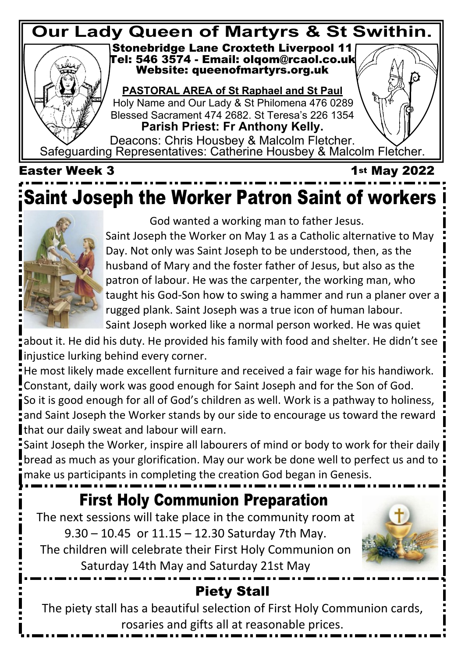#### **Stonebridge Lane Croxteth Liverpool 11 Tel: 546 3574 - Email: olqom@rcaol.co.uk Website: queenofmartyrs.org.uk Our Lady Queen of Martyrs & St Swithin.**

**PASTORAL AREA of St Raphael and St Paul** Holy Name and Our Lady & St Philomena 476 0289 Blessed Sacrament 474 2682. St Teresa's 226 1354 **Parish Priest: Fr Anthony Kelly.**

Deacons: Chris Housbey & Malcolm Fletcher. Safeguarding Representatives: Catherine Housbey & Malcolm Fletcher.

#### **Easter Week 3** 1st May 2022

# **Saint Joseph the Worker Patron Saint of workers**



God wanted a working man to father Jesus.

Saint Joseph the Worker on May 1 as a Catholic alternative to May Day. Not only was Saint Joseph to be understood, then, as the husband of Mary and the foster father of Jesus, but also as the patron of labour. He was the carpenter, the working man, who taught his God-Son how to swing a hammer and run a planer over a rugged plank. Saint Joseph was a true icon of human labour. Saint Joseph worked like a normal person worked. He was quiet

about it. He did his duty. He provided his family with food and shelter. He didn't see Iniustice lurking behind every corner.

He most likely made excellent furniture and received a fair wage for his handiwork. Constant, daily work was good enough for Saint Joseph and for the Son of God.

So it is good enough for all of God's children as well. Work is a pathway to holiness, and Saint Joseph the Worker stands by our side to encourage us toward the reward that our daily sweat and labour will earn.

Saint Joseph the Worker, inspire all labourers of mind or body to work for their daily bread as much as your glorification. May our work be done well to perfect us and to make us participants in completing the creation God began in Genesis.

## **First Holy Communion Preparation**

The next sessions will take place in the community room at 9.30 – 10.45 or 11.15 – 12.30 Saturday 7th May. The children will celebrate their First Holy Communion on Saturday 14th May and Saturday 21st May



### **Piety Stall**

The piety stall has a beautiful selection of First Holy Communion cards, rosaries and gifts all at reasonable prices.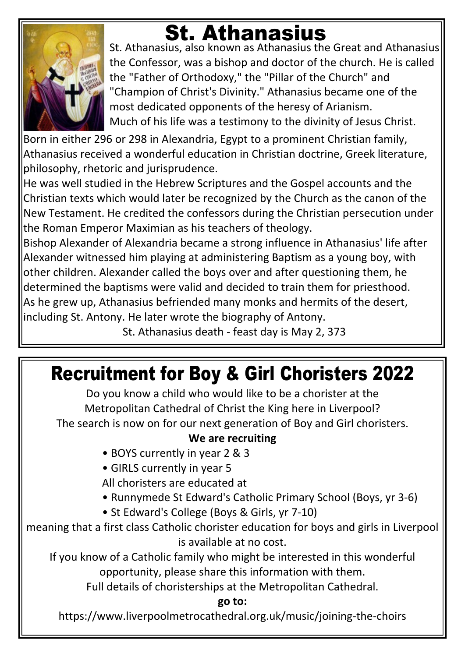

# **St. Athanasius**

St. Athanasius, also known as Athanasius the Great and Athanasius the Confessor, was a bishop and doctor of the church. He is called the "Father of Orthodoxy," the "Pillar of the Church" and "Champion of Christ's Divinity." Athanasius became one of the most dedicated opponents of the heresy of Arianism. Much of his life was a testimony to the divinity of Jesus Christ.

Born in either 296 or 298 in Alexandria, Egypt to a prominent Christian family, Athanasius received a wonderful education in Christian doctrine, Greek literature, philosophy, rhetoric and jurisprudence.

He was well studied in the Hebrew Scriptures and the Gospel accounts and the Christian texts which would later be recognized by the Church as the canon of the New Testament. He credited the confessors during the Christian persecution under the Roman Emperor Maximian as his teachers of theology.

Bishop Alexander of Alexandria became a strong influence in Athanasius' life after Alexander witnessed him playing at administering Baptism as a young boy, with other children. Alexander called the boys over and after questioning them, he determined the baptisms were valid and decided to train them for priesthood. As he grew up, Athanasius befriended many monks and hermits of the desert, including St. Antony. He later wrote the biography of Antony.

St. Athanasius death - feast day is May 2, 373

# **Recruitment for Boy & Girl Choristers 2022**

Do you know a child who would like to be a chorister at the Metropolitan Cathedral of Christ the King here in Liverpool? The search is now on for our next generation of Boy and Girl choristers.

#### **We are recruiting**

- BOYS currently in year 2 & 3
- GIRLS currently in year 5
- All choristers are educated at
- Runnymede St Edward's Catholic Primary School (Boys, yr 3-6)
- St Edward's College (Boys & Girls, yr 7-10)

meaning that a first class Catholic chorister education for boys and girls in Liverpool is available at no cost.

If you know of a Catholic family who might be interested in this wonderful opportunity, please share this information with them.

Full details of choristerships at the Metropolitan Cathedral.

#### **go to:**

https://www.liverpoolmetrocathedral.org.uk/music/joining-the-choirs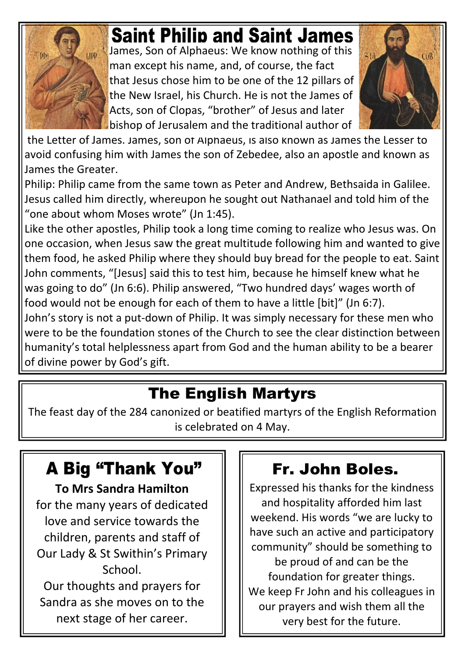

# **Saint Philip and Saint James**

James, Son of Alphaeus: We know nothing of this man except his name, and, of course, the fact that Jesus chose him to be one of the 12 pillars of the New Israel, his Church. He is not the James of Acts, son of Clopas, "brother" of Jesus and later bishop of Jerusalem and the traditional author of



 the Letter of James. James, son of Alphaeus, is also known as James the Lesser to avoid confusing him with James the son of Zebedee, also an apostle and known as James the Greater.

Philip: Philip came from the same town as Peter and Andrew, Bethsaida in Galilee. Jesus called him directly, whereupon he sought out Nathanael and told him of the "one about whom Moses wrote" (Jn 1:45).

Like the other apostles, Philip took a long time coming to realize who Jesus was. On one occasion, when Jesus saw the great multitude following him and wanted to give them food, he asked Philip where they should buy bread for the people to eat. Saint John comments, "[Jesus] said this to test him, because he himself knew what he was going to do" (Jn 6:6). Philip answered, "Two hundred days' wages worth of food would not be enough for each of them to have a little [bit]" (Jn 6:7).

John's story is not a put-down of Philip. It was simply necessary for these men who were to be the foundation stones of the Church to see the clear distinction between humanity's total helplessness apart from God and the human ability to be a bearer of divine power by God's gift.

## **The English Martyrs**

The feast day of the 284 canonized or beatified martyrs of the English Reformation is celebrated on 4 May.

## **A Big "Thank You"**

**To Mrs Sandra Hamilton**

for the many years of dedicated love and service towards the children, parents and staff of Our Lady & St Swithin's Primary School. Our thoughts and prayers for

Sandra as she moves on to the next stage of her career.

## **Fr. John Boles.**

Expressed his thanks for the kindness and hospitality afforded him last weekend. His words "we are lucky to have such an active and participatory community" should be something to be proud of and can be the foundation for greater things. We keep Fr John and his colleagues in our prayers and wish them all the very best for the future.